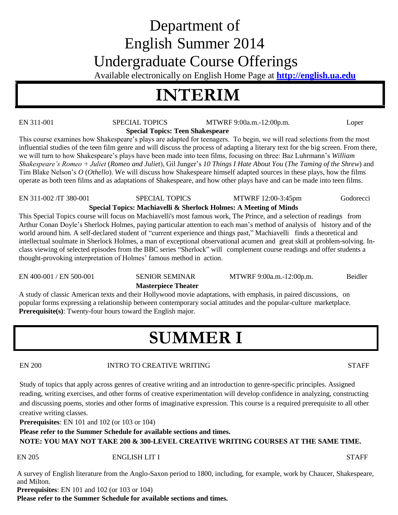# Department of English Summer 2014 Undergraduate Course Offerings

Available electronically on English Home Page at **[http://english.ua.edu](http://english.ua.edu/)**

# **INTERIM**

EN 311-001 SPECIAL TOPICS MTWRF 9:00a.m.-12:00p.m. Loper

**Special Topics: Teen Shakespeare**

This course examines how Shakespeare's plays are adapted for teenagers. To begin, we will read selections from the most influential studies of the teen film genre and will discuss the process of adapting a literary text for the big screen. From there, we will turn to how Shakespeare's plays have been made into teen films, focusing on three: Baz Luhrmann's *William Shakespeare's Romeo + Juliet* (*Romeo and Juliet*), Gil Junger's *10 Things I Hate About You* (*The Taming of the Shrew*) and Tim Blake Nelson's *O* (*Othello*). We will discuss how Shakespeare himself adapted sources in these plays, how the films operate as both teen films and as adaptations of Shakespeare, and how other plays have and can be made into teen films.

EN 311-002 /IT 380-001 SPECIAL TOPICS MTWRF 12:00-3:45pm Godorecci

# **Special Topics: Machiavelli & Sherlock Holmes: A Meeting of Minds**

This Special Topics course will focus on Machiavelli's most famous work, The Prince, and a selection of readings from Arthur Conan Doyle's Sherlock Holmes, paying particular attention to each man's method of analysis of history and of the world around him. A self-declared student of "current experience and things past," Machiavelli finds a theoretical and intellectual soulmate in Sherlock Holmes, a man of exceptional observational acumen and great skill at problem-solving. Inclass viewing of selected episodes from the BBC series "Sherlock" will complement course readings and offer students a thought-provoking interpretation of Holmes' famous method in action.

EN 400-001 / EN 500-001 SENIOR SEMINAR MTWRF 9:00a.m.-12:00p.m. Beidler

## **Masterpiece Theater**

A study of classic American texts and their Hollywood movie adaptations, with emphasis, in paired discussions, on popular forms expressing a relationship between contemporary social attitudes and the popular-culture marketplace. **Prerequisite(s)**: Twenty-four hours toward the English major.

# **SUMMER I**

## EN 200 INTRO TO CREATIVE WRITING STAFF

Study of topics that apply across genres of creative writing and an introduction to genre-specific principles. Assigned reading, writing exercises, and other forms of creative experimentation will develop confidence in analyzing, constructing and discussing poems, stories and other forms of imaginative expression. This course is a required prerequisite to all other creative writing classes.

**Prerequisites**: EN 101 and 102 (or 103 or 104)

**Please refer to the Summer Schedule for available sections and times.**

**NOTE: YOU MAY NOT TAKE 200 & 300-LEVEL CREATIVE WRITING COURSES AT THE SAME TIME.**

### EN 205 ENGLISH LIT I STAFF

A survey of English literature from the Anglo-Saxon period to 1800, including, for example, work by Chaucer, Shakespeare, and Milton.

**Prerequisites**: EN 101 and 102 (or 103 or 104)

**Please refer to the Summer Schedule for available sections and times.**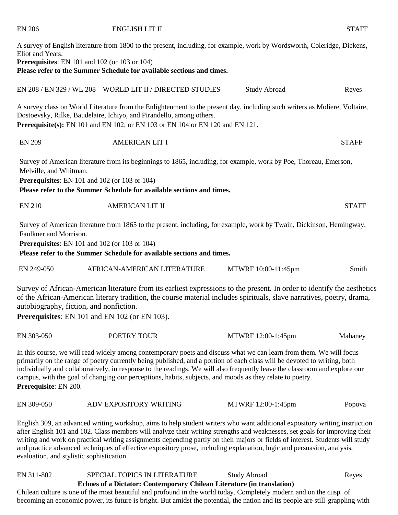| Eliot and Yeats.<br><b>Prerequisites:</b> EN 101 and 102 (or 103 or 104)                        | A survey of English literature from 1800 to the present, including, for example, work by Wordsworth, Coleridge, Dickens,<br>Please refer to the Summer Schedule for available sections and times.                                                                                                                                                                                                                                                                                                                    |                     |              |
|-------------------------------------------------------------------------------------------------|----------------------------------------------------------------------------------------------------------------------------------------------------------------------------------------------------------------------------------------------------------------------------------------------------------------------------------------------------------------------------------------------------------------------------------------------------------------------------------------------------------------------|---------------------|--------------|
|                                                                                                 | EN 208 / EN 329 / WL 208 WORLD LIT II / DIRECTED STUDIES                                                                                                                                                                                                                                                                                                                                                                                                                                                             | <b>Study Abroad</b> | Reyes        |
|                                                                                                 | A survey class on World Literature from the Enlightenment to the present day, including such writers as Moliere, Voltaire,<br>Dostoevsky, Rilke, Baudelaire, Ichiyo, and Pirandello, among others.<br>Prerequisite(s): EN 101 and EN 102; or EN 103 or EN 104 or EN 120 and EN 121.                                                                                                                                                                                                                                  |                     |              |
| <b>EN 209</b>                                                                                   | <b>AMERICAN LIT I</b>                                                                                                                                                                                                                                                                                                                                                                                                                                                                                                |                     | <b>STAFF</b> |
| Melville, and Whitman.<br><b>Prerequisites:</b> EN 101 and 102 (or 103 or 104)                  | Survey of American literature from its beginnings to 1865, including, for example, work by Poe, Thoreau, Emerson,<br>Please refer to the Summer Schedule for available sections and times.                                                                                                                                                                                                                                                                                                                           |                     |              |
| <b>EN 210</b>                                                                                   | <b>AMERICAN LIT II</b>                                                                                                                                                                                                                                                                                                                                                                                                                                                                                               |                     | <b>STAFF</b> |
| Faulkner and Morrison.<br><b>Prerequisites:</b> EN 101 and 102 (or 103 or 104)                  | Survey of American literature from 1865 to the present, including, for example, work by Twain, Dickinson, Hemingway,<br>Please refer to the Summer Schedule for available sections and times.                                                                                                                                                                                                                                                                                                                        |                     |              |
| EN 249-050                                                                                      | AFRICAN-AMERICAN LITERATURE                                                                                                                                                                                                                                                                                                                                                                                                                                                                                          | MTWRF 10:00-11:45pm | Smith        |
| autobiography, fiction, and nonfiction.<br><b>Prerequisites:</b> EN 101 and EN 102 (or EN 103). | Survey of African-American literature from its earliest expressions to the present. In order to identify the aesthetics<br>of the African-American literary tradition, the course material includes spirituals, slave narratives, poetry, drama,                                                                                                                                                                                                                                                                     |                     |              |
| EN 303-050                                                                                      | POETRY TOUR                                                                                                                                                                                                                                                                                                                                                                                                                                                                                                          | MTWRF 12:00-1:45pm  | Mahaney      |
| Prerequisite: EN 200.                                                                           | In this course, we will read widely among contemporary poets and discuss what we can learn from them. We will focus<br>primarily on the range of poetry currently being published, and a portion of each class will be devoted to writing, both<br>individually and collaboratively, in response to the readings. We will also frequently leave the classroom and explore our<br>campus, with the goal of changing our perceptions, habits, subjects, and moods as they relate to poetry.                            |                     |              |
| EN 309-050                                                                                      | ADV EXPOSITORY WRITING                                                                                                                                                                                                                                                                                                                                                                                                                                                                                               | MTWRF 12:00-1:45pm  | Popova       |
|                                                                                                 | English 309, an advanced writing workshop, aims to help student writers who want additional expository writing instruction<br>after English 101 and 102. Class members will analyze their writing strengths and weaknesses, set goals for improving their<br>writing and work on practical writing assignments depending partly on their majors or fields of interest. Students will study<br>and practice advanced techniques of effective expository prose, including explanation, logic and persuasion, analysis, |                     |              |

EN 206 ENGLISH LIT II STAFF

evaluation, and stylistic sophistication.

EN 311-802 SPECIAL TOPICS IN LITERATURE Study Abroad Reyes **Echoes of a Dictator: Contemporary Chilean Literature (in translation)** Chilean culture is one of the most beautiful and profound in the world today. Completely modern and on the cusp of

becoming an economic power, its future is bright. But amidst the potential, the nation and its people are still grappling with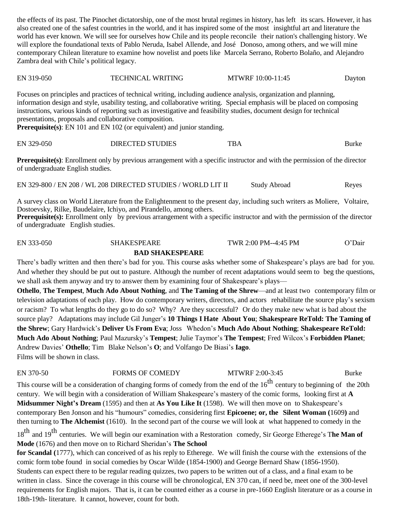the effects of its past. The Pinochet dictatorship, one of the most brutal regimes in history, has left its scars. However, it has also created one of the safest countries in the world, and it has inspired some of the most insightful art and literature the world has ever known. We will see for ourselves how Chile and its people reconcile their nation's challenging history. We will explore the foundational texts of Pablo Neruda, Isabel Allende, and José Donoso, among others, and we will mine contemporary Chilean literature to examine how novelist and poets like Marcela Serrano, Roberto Bolaño, and Alejandro Zambra deal with Chile's political legacy.

EN 319-050 TECHNICAL WRITING MTWRF 10:00-11:45 Dayton

Focuses on principles and practices of technical writing, including audience analysis, organization and planning, information design and style, usability testing, and collaborative writing. Special emphasis will be placed on composing instructions, various kinds of reporting such as investigative and feasibility studies, document design for technical presentations, proposals and collaborative composition.

**Prerequisite(s)**: EN 101 and EN 102 (or equivalent) and junior standing.

| EN 329-050 | <b>DIRECTED STUDIES</b> | <b>TBA</b> | Burke |
|------------|-------------------------|------------|-------|
|------------|-------------------------|------------|-------|

**Prerequisite(s)**: Enrollment only by previous arrangement with a specific instructor and with the permission of the director of undergraduate English studies.

EN 329-800 / EN 208 / WL 208 DIRECTED STUDIES / WORLD LIT II Study Abroad Reyes

A survey class on World Literature from the Enlightenment to the present day, including such writers as Moliere, Voltaire, Dostoevsky, Rilke, Baudelaire, Ichiyo, and Pirandello, among others.

**Prerequisite(s):** Enrollment only by previous arrangement with a specific instructor and with the permission of the director of undergraduate English studies.

EN 333-050 SHAKESPEARE TWR 2:00 PM--4:45 PM O'Dair

**BAD SHAKESPEARE**

There's badly written and then there's bad for you. This course asks whether some of Shakespeare's plays are bad for you. And whether they should be put out to pasture. Although the number of recent adaptations would seem to beg the questions, we shall ask them anyway and try to answer them by examining four of Shakespeare's plays—

**Othello**, **The Tempest**, **Much Ado About Nothing**, and **The Taming of the Shrew**—and at least two contemporary film or television adaptations of each play. How do contemporary writers, directors, and actors rehabilitate the source play's sexism or racism? To what lengths do they go to do so? Why? Are they successful? Or do they make new what is bad about the source play? Adaptations may include Gil Junger's **10 Things I Hate About You**; **Shakespeare ReTold: The Taming of the Shrew**; Gary Hardwick's **Deliver Us From Eva**; Joss Whedon's **Much Ado About Nothing**; **Shakespeare ReTold: Much Ado About Nothing**; Paul Mazursky's **Tempest**; Julie Taymor's **The Tempest**; Fred Wilcox's **Forbidden Planet**; Andrew Davies' **Othello**; Tim Blake Nelson's **O**; and Volfango De Biasi's **Iago**. Films will be shown in class.

EN 370-50 FORMS OF COMEDY MTWRF 2:00-3:45 Burke

This course will be a consideration of changing forms of comedy from the end of the  $16<sup>th</sup>$  century to beginning of the 20th century. We will begin with a consideration of William Shakespeare's mastery of the comic forms, looking first at **A Midsummer Night's Dream** (1595) and then at **As You Like It** (1598). We will then move on to Shakespeare's contemporary Ben Jonson and his "humours" comedies, considering first **Epicoene; or, the Silent Woman (**1609**)** and then turning to **The Alchemist** (1610). In the second part of the course we will look at what happened to comedy in the

18th and <sup>19</sup>th centuries. We will begin our examination with a Restoration comedy, Sir George Etherege's <sup>T</sup>**he Man of Mode** (1676) and then move on to Richard Sheridan's **The School**

**for Scandal (**1777), which can conceived of as his reply to Etherege. We will finish the course with the extensions of the comic form tobe found in social comedies by Oscar Wilde (1854-1900) and George Bernard Shaw (1856-1950). Students can expect there to be regular reading quizzes, two papers to be written out of a class, and a final exam to be written in class. Since the coverage in this course will be chronological, EN 370 can, if need be, meet one of the 300-level requirements for English majors. That is, it can be counted either as a course in pre-1660 English literature or as a course in 18th-19th- literature. It cannot, however, count for both.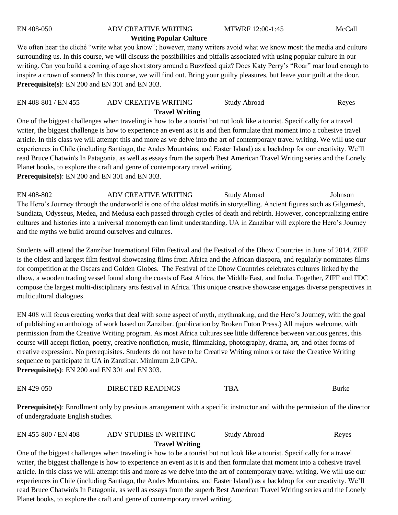# EN 408-050 ADV CREATIVE WRITING MTWRF 12:00-1:45 McCall

# **Writing Popular Culture**

We often hear the cliché "write what you know"; however, many writers avoid what we know most: the media and culture surrounding us. In this course, we will discuss the possibilities and pitfalls associated with using popular culture in our writing. Can you build a coming of age short story around a Buzzfeed quiz? Does Katy Perry's "Roar" roar loud enough to inspire a crown of sonnets? In this course, we will find out. Bring your guilty pleasures, but leave your guilt at the door. **Prerequisite(s)**: EN 200 and EN 301 and EN 303.

| EN 408-801 / EN 455 | ADV CREATIVE WRITING  | Study Abroad | Reyes |
|---------------------|-----------------------|--------------|-------|
|                     | <b>Travel Writing</b> |              |       |

One of the biggest challenges when traveling is how to be a tourist but not look like a tourist. Specifically for a travel writer, the biggest challenge is how to experience an event as it is and then formulate that moment into a cohesive travel article. In this class we will attempt this and more as we delve into the art of contemporary travel writing. We will use our experiences in Chile (including Santiago, the Andes Mountains, and Easter Island) as a backdrop for our creativity. We'll read Bruce Chatwin's In Patagonia, as well as essays from the superb Best American Travel Writing series and the Lonely Planet books, to explore the craft and genre of contemporary travel writing. **Prerequisite(s)**: EN 200 and EN 301 and EN 303.

EN 408-802 ADV CREATIVE WRITING Study Abroad Johnson The Hero's Journey through the underworld is one of the oldest motifs in storytelling. Ancient figures such as Gilgamesh, Sundiata, Odysseus, Medea, and Medusa each passed through cycles of death and rebirth. However, conceptualizing entire cultures and histories into a universal monomyth can limit understanding. UA in Zanzibar will explore the Hero's Journey and the myths we build around ourselves and cultures.

Students will attend the Zanzibar International Film Festival and the Festival of the Dhow Countries in June of 2014. ZIFF is the oldest and largest film festival showcasing films from Africa and the African diaspora, and regularly nominates films for competition at the Oscars and Golden Globes. The Festival of the Dhow Countries celebrates cultures linked by the dhow, a wooden trading vessel found along the coasts of East Africa, the Middle East, and India. Together, ZIFF and FDC compose the largest multi-disciplinary arts festival in Africa. This unique creative showcase engages diverse perspectives in multicultural dialogues.

EN 408 will focus creating works that deal with some aspect of myth, mythmaking, and the Hero's Journey, with the goal of publishing an anthology of work based on Zanzibar. (publication by Broken Futon Press.) All majors welcome, with permission from the Creative Writing program. As most Africa cultures see little difference between various genres, this course will accept fiction, poetry, creative nonfiction, music, filmmaking, photography, drama, art, and other forms of creative expression. No prerequisites. Students do not have to be Creative Writing minors or take the Creative Writing sequence to participate in UA in Zanzibar. Minimum 2.0 GPA.

**Prerequisite(s)**: EN 200 and EN 301 and EN 303.

| Burke |
|-------|
|       |

**Prerequisite(s)**: Enrollment only by previous arrangement with a specific instructor and with the permission of the director of undergraduate English studies.

### EN 455-800 / EN 408 ADV STUDIES IN WRITING Study Abroad Reyes **Travel Writing**

One of the biggest challenges when traveling is how to be a tourist but not look like a tourist. Specifically for a travel writer, the biggest challenge is how to experience an event as it is and then formulate that moment into a cohesive travel article. In this class we will attempt this and more as we delve into the art of contemporary travel writing. We will use our experiences in Chile (including Santiago, the Andes Mountains, and Easter Island) as a backdrop for our creativity. We'll read Bruce Chatwin's In Patagonia, as well as essays from the superb Best American Travel Writing series and the Lonely Planet books, to explore the craft and genre of contemporary travel writing.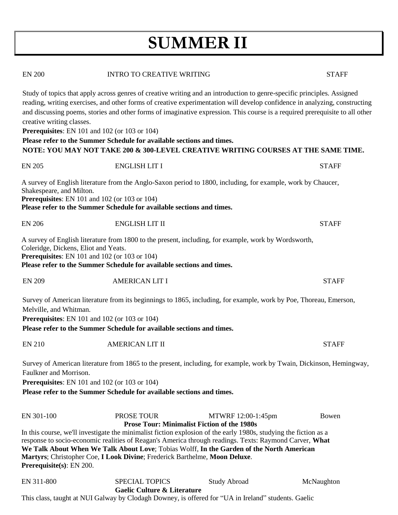# **SUMMER II**

| <b>EN 200</b>                        | <b>INTRO TO CREATIVE WRITING</b>                                                                                                                                                                                                                                                                                                                                                                     | <b>STAFF</b> |
|--------------------------------------|------------------------------------------------------------------------------------------------------------------------------------------------------------------------------------------------------------------------------------------------------------------------------------------------------------------------------------------------------------------------------------------------------|--------------|
| creative writing classes.            | Study of topics that apply across genres of creative writing and an introduction to genre-specific principles. Assigned<br>reading, writing exercises, and other forms of creative experimentation will develop confidence in analyzing, constructing<br>and discussing poems, stories and other forms of imaginative expression. This course is a required prerequisite to all other                |              |
|                                      | Prerequisites: EN 101 and 102 (or 103 or 104)                                                                                                                                                                                                                                                                                                                                                        |              |
|                                      | Please refer to the Summer Schedule for available sections and times.                                                                                                                                                                                                                                                                                                                                |              |
|                                      | NOTE: YOU MAY NOT TAKE 200 & 300-LEVEL CREATIVE WRITING COURSES AT THE SAME TIME.                                                                                                                                                                                                                                                                                                                    |              |
| <b>EN 205</b>                        | <b>ENGLISH LIT I</b>                                                                                                                                                                                                                                                                                                                                                                                 | <b>STAFF</b> |
| Shakespeare, and Milton.             | A survey of English literature from the Anglo-Saxon period to 1800, including, for example, work by Chaucer,<br>Prerequisites: EN 101 and 102 (or 103 or 104)<br>Please refer to the Summer Schedule for available sections and times.                                                                                                                                                               |              |
|                                      |                                                                                                                                                                                                                                                                                                                                                                                                      |              |
| <b>EN 206</b>                        | <b>ENGLISH LIT II</b>                                                                                                                                                                                                                                                                                                                                                                                | <b>STAFF</b> |
| Coleridge, Dickens, Eliot and Yeats. | A survey of English literature from 1800 to the present, including, for example, work by Wordsworth,<br><b>Prerequisites:</b> EN 101 and 102 (or 103 or 104)<br>Please refer to the Summer Schedule for available sections and times.                                                                                                                                                                |              |
| <b>EN 209</b>                        | <b>AMERICAN LIT I</b>                                                                                                                                                                                                                                                                                                                                                                                | <b>STAFF</b> |
| Melville, and Whitman.               | Survey of American literature from its beginnings to 1865, including, for example, work by Poe, Thoreau, Emerson,                                                                                                                                                                                                                                                                                    |              |
|                                      | Prerequisites: EN 101 and 102 (or 103 or 104)<br>Please refer to the Summer Schedule for available sections and times.                                                                                                                                                                                                                                                                               |              |
|                                      |                                                                                                                                                                                                                                                                                                                                                                                                      |              |
| <b>EN 210</b>                        | <b>AMERICAN LIT II</b>                                                                                                                                                                                                                                                                                                                                                                               | <b>STAFF</b> |
| Faulkner and Morrison.               | Survey of American literature from 1865 to the present, including, for example, work by Twain, Dickinson, Hemingway,                                                                                                                                                                                                                                                                                 |              |
|                                      | Prerequisites: EN 101 and 102 (or 103 or 104)                                                                                                                                                                                                                                                                                                                                                        |              |
|                                      | Please refer to the Summer Schedule for available sections and times.                                                                                                                                                                                                                                                                                                                                |              |
| EN 301-100                           | PROSE TOUR<br>MTWRF 12:00-1:45pm<br><b>Prose Tour: Minimalist Fiction of the 1980s</b>                                                                                                                                                                                                                                                                                                               | Bowen        |
| Prerequisite(s): EN 200.             | In this course, we'll investigate the minimalist fiction explosion of the early 1980s, studying the fiction as a<br>response to socio-economic realities of Reagan's America through readings. Texts: Raymond Carver, What<br>We Talk About When We Talk About Love; Tobias Wolff, In the Garden of the North American<br>Martyrs; Christopher Coe, I Look Divine; Frederick Barthelme, Moon Deluxe. |              |
| EN 311-800                           | <b>SPECIAL TOPICS</b><br><b>Study Abroad</b><br>Gaelic Culture & Literature                                                                                                                                                                                                                                                                                                                          | McNaughton   |

This class, taught at NUI Galway by Clodagh Downey, is offered for "UA in Ireland" students. Gaelic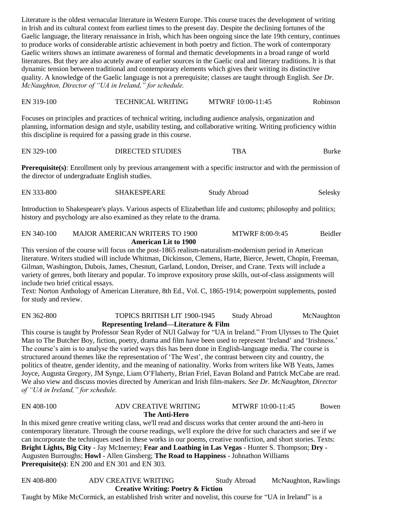Literature is the oldest vernacular literature in Western Europe. This course traces the development of writing in Irish and its cultural context from earliest times to the present day. Despite the declining fortunes of the Gaelic language, the literary renaissance in Irish, which has been ongoing since the late 19th century, continues to produce works of considerable artistic achievement in both poetry and fiction. The work of contemporary Gaelic writers shows an intimate awareness of formal and thematic developments in a broad range of world literatures. But they are also acutely aware of earlier sources in the Gaelic oral and literary traditions. It is that dynamic tension between traditional and contemporary elements which gives their writing its distinctive quality. A knowledge of the Gaelic language is not a prerequisite; classes are taught through English. *See Dr. McNaughton, Director of "UA in Ireland," for schedule.*

| EN 319-100 | <b>TECHNICAL WRITING</b> | MTWRF 10:00-11:45 | Robinson |
|------------|--------------------------|-------------------|----------|

Focuses on principles and practices of technical writing, including audience analysis, organization and planning, information design and style, usability testing, and collaborative writing. Writing proficiency within this discipline is required for a passing grade in this course.

| EN 329-100              | <b>TBA</b> |
|-------------------------|------------|
| <b>DIRECTED STUDIES</b> | Burke      |

**Prerequisite(s)**: Enrollment only by previous arrangement with a specific instructor and with the permission of the director of undergraduate English studies.

EN 333-800 SHAKESPEARE Study Abroad Selesky

Introduction to Shakespeare's plays. Various aspects of Elizabethan life and customs; philosophy and politics; history and psychology are also examined as they relate to the drama.

### EN 340-100 MAJOR AMERICAN WRITERS TO 1900 MTWRF 8:00-9:45 Beidler **American Lit to 1900**

This version of the course will focus on the post-1865 realism-naturalism-modernism period in American literature. Writers studied will include Whitman, Dickinson, Clemens, Harte, Bierce, Jewett, Chopin, Freeman, Gilman, Washington, Dubois, James, Chesnutt, Garland, London, Dreiser, and Crane. Texts will include a variety of genres, both literary and popular. To improve expository prose skills, out-of-class assignments will include two brief critical essays.

Text: Norton Anthology of American Literature, 8th Ed., Vol. C, 1865-1914; powerpoint supplements, posted for study and review.

### EN 362-800 TOPICS BRITISH LIT 1900-1945 Study Abroad McNaughton **Representing Ireland—Literature & Film**

This course is taught by Professor Sean Ryder of NUI Galway for "UA in Ireland." From Ulysses to The Quiet Man to The Butcher Boy, fiction, poetry, drama and film have been used to represent 'Ireland' and 'Irishness.' The course's aim is to analyse the varied ways this has been done in English-language media. The course is structured around themes like the representation of 'The West', the contrast between city and country, the politics of theatre, gender identity, and the meaning of nationality. Works from writers like WB Yeats, James Joyce, Augusta Gregory, JM Synge, Liam O'Flaherty, Brian Friel, Eavan Boland and Patrick McCabe are read. We also view and discuss movies directed by American and Irish film-makers. *See Dr. McNaughton, Director of "UA in Ireland," for schedule.*

| EN 408-100 | <b>ADV CREATIVE WRITING</b>                                                                                     | MTWRF 10:00-11:45 | Bowen |
|------------|-----------------------------------------------------------------------------------------------------------------|-------------------|-------|
|            | The Anti-Hero                                                                                                   |                   |       |
|            | In this mixed genre creative writing class, we'll read and discuss works that center around the anti-hero in    |                   |       |
|            | contemporary literature. Through the course readings, we'll explore the drive for such characters and see if we |                   |       |
|            | can incorporate the techniques used in these works in our poems, creative nonfiction, and short stories. Texts: |                   |       |
|            | Bright Lights, Big City - Jay McInerney; Fear and Loathing in Las Vegas - Hunter S. Thompson; Dry -             |                   |       |
|            | Augusten Burroughs; Howl - Allen Ginsberg; The Road to Happiness - Johnathon Williams                           |                   |       |
|            | <b>Prerequisite(s):</b> EN 200 and EN 301 and EN 303.                                                           |                   |       |
|            |                                                                                                                 |                   |       |

EN 408-800 ADV CREATIVE WRITING Study Abroad McNaughton, Rawlings **Creative Writing: Poetry & Fiction**

Taught by Mike McCormick, an established Irish writer and novelist, this course for "UA in Ireland" is a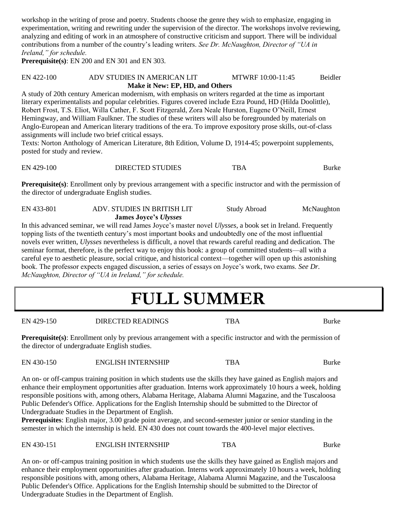workshop in the writing of prose and poetry. Students choose the genre they wish to emphasize, engaging in experimentation, writing and rewriting under the supervision of the director. The workshops involve reviewing, analyzing and editing of work in an atmosphere of constructive criticism and support. There will be individual contributions from a number of the country's leading writers. *See Dr. McNaughton, Director of "UA in Ireland," for schedule.*

**Prerequisite(s)**: EN 200 and EN 301 and EN 303.

### EN 422-100 ADV STUDIES IN AMERICAN LIT MTWRF 10:00-11:45 Beidler  **Make it New: EP, HD, and Others**

A study of 20th century American modernism, with emphasis on writers regarded at the time as important literary experimentalists and popular celebrities. Figures covered include Ezra Pound, HD (Hilda Doolittle), Robert Frost, T.S. Eliot, Willa Cather, F. Scott Fitzgerald, Zora Neale Hurston, Eugene O'Neill, Ernest Hemingway, and William Faulkner. The studies of these writers will also be foregrounded by materials on Anglo-European and American literary traditions of the era. To improve expository prose skills, out-of-class assignments will include two brief critical essays.

Texts: Norton Anthology of American Literature, 8th Edition, Volume D, 1914-45; powerpoint supplements, posted for study and review.

| EN 429-100 | <b>DIRECTED STUDIES</b> | <b>TBA</b> | Burke |
|------------|-------------------------|------------|-------|
|            |                         |            |       |

**Prerequisite(s)**: Enrollment only by previous arrangement with a specific instructor and with the permission of the director of undergraduate English studies.

| EN 433-801 | ADV. STUDIES IN BRITISH LIT  | <b>Study Abroad</b> | McNaughton |
|------------|------------------------------|---------------------|------------|
|            | <b>James Joyce's Ulysses</b> |                     |            |

In this advanced seminar, we will read James Joyce's master novel *Ulysses*, a book set in Ireland. Frequently topping lists of the twentieth century's most important books and undoubtedly one of the most influential novels ever written, *Ulysses* nevertheless is difficult, a novel that rewards careful reading and dedication. The seminar format, therefore, is the perfect way to enjoy this book: a group of committed students—all with a careful eye to aesthetic pleasure, social critique, and historical context—together will open up this astonishing book. The professor expects engaged discussion, a series of essays on Joyce's work, two exams. *See Dr. McNaughton, Director of "UA in Ireland," for schedule.*

# **FULL SUMMER**

EN 429-150 DIRECTED READINGS TBA Burke

**Prerequisite(s)**: Enrollment only by previous arrangement with a specific instructor and with the permission of the director of undergraduate English studies.

EN 430-150 ENGLISH INTERNSHIP TBA Burke

An on- or off-campus training position in which students use the skills they have gained as English majors and enhance their employment opportunities after graduation. Interns work approximately 10 hours a week, holding responsible positions with, among others, Alabama Heritage, Alabama Alumni Magazine, and the Tuscaloosa Public Defender's Office. Applications for the English Internship should be submitted to the Director of Undergraduate Studies in the Department of English.

**Prerequisites**: English major, 3.00 grade point average, and second-semester junior or senior standing in the semester in which the internship is held. EN 430 does not count towards the 400-level major electives.

### EN 430-151 ENGLISH INTERNSHIP TBA Burke

An on- or off-campus training position in which students use the skills they have gained as English majors and enhance their employment opportunities after graduation. Interns work approximately 10 hours a week, holding responsible positions with, among others, Alabama Heritage, Alabama Alumni Magazine, and the Tuscaloosa Public Defender's Office. Applications for the English Internship should be submitted to the Director of Undergraduate Studies in the Department of English.